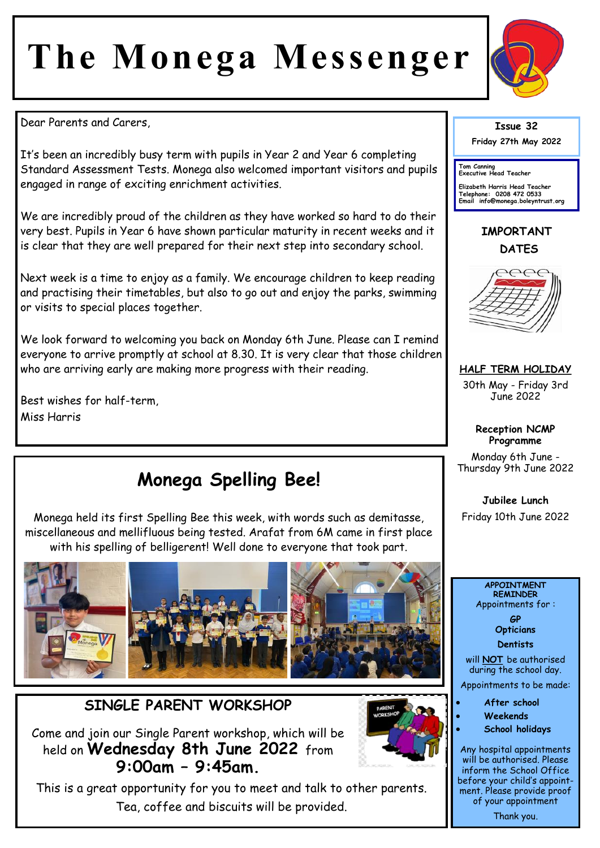# **The Monega Messenger**



Dear Parents and Carers,

It's been an incredibly busy term with pupils in Year 2 and Year 6 completing Standard Assessment Tests. Monega also welcomed important visitors and pupils engaged in range of exciting enrichment activities.

We are incredibly proud of the children as they have worked so hard to do their very best. Pupils in Year 6 have shown particular maturity in recent weeks and it is clear that they are well prepared for their next step into secondary school.

Next week is a time to enjoy as a family. We encourage children to keep reading and practising their timetables, but also to go out and enjoy the parks, swimming or visits to special places together.

We look forward to welcoming you back on Monday 6th June. Please can I remind everyone to arrive promptly at school at 8.30. It is very clear that those children who are arriving early are making more progress with their reading.

Best wishes for half-term, Miss Harris

# **Monega Spelling Bee!**

Monega held its first Spelling Bee this week, with words such as demitasse, miscellaneous and mellifluous being tested. Arafat from 6M came in first place with his spelling of belligerent! Well done to everyone that took part.



### **SINGLE PARENT WORKSHOP**

Come and join our Single Parent workshop, which will be held on **Wednesday 8th June 2022** from **9:00am – 9:45am.** 



This is a great opportunity for you to meet and talk to other parents. Tea, coffee and biscuits will be provided.

#### **Issue 32 Friday 27th May 2022**

**Tom Canning Executive Head Teacher**

**Elizabeth Harris Head Teacher Telephone: 0208 472 0533 Email info@monega.boleyntrust.org** 

**IMPORTANT DATES**



**HALF TERM HOLIDAY**

30th May - Friday 3rd June 2022

#### **Reception NCMP Programme**

Monday 6th June - Thursday 9th June 2022

**Jubilee Lunch**  Friday 10th June 2022

#### **APPOINTMENT REMINDER** Appointments for :

**GP Opticians** 

**Dentists** 

will **NOT** be authorised during the school day.

Appointments to be made:

- **After school**
- **Weekends**
- **School holidays**

Any hospital appointments will be authorised. Please inform the School Office before your child's appointment. Please provide proof of your appointment

Thank you.